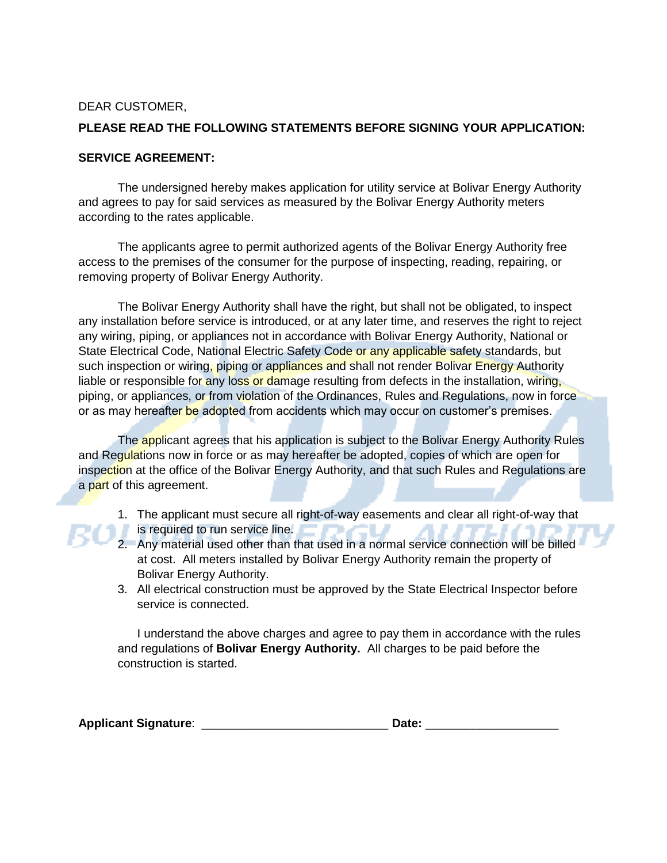## DEAR CUSTOMER,

## **PLEASE READ THE FOLLOWING STATEMENTS BEFORE SIGNING YOUR APPLICATION:**

## **SERVICE AGREEMENT:**

The undersigned hereby makes application for utility service at Bolivar Energy Authority and agrees to pay for said services as measured by the Bolivar Energy Authority meters according to the rates applicable.

The applicants agree to permit authorized agents of the Bolivar Energy Authority free access to the premises of the consumer for the purpose of inspecting, reading, repairing, or removing property of Bolivar Energy Authority.

The Bolivar Energy Authority shall have the right, but shall not be obligated, to inspect any installation before service is introduced, or at any later time, and reserves the right to reject any wiring, piping, or appliances not in accordance with Bolivar Energy Authority, National or State Electrical Code, National Electric Safety Code or any applicable safety standards, but such inspection or wiring, piping or appliances and shall not render Bolivar Energy Authority liable or responsible for any loss or damage resulting from defects in the installation, wiring, piping, or appliances, or from violation of the Ordinances, Rules and Regulations, now in force or as may hereafter be adopted from accidents which may occur on customer's premises.

The applicant agrees that his application is subject to the Bolivar Energy Authority Rules and Regulations now in force or as may hereafter be adopted, copies of which are open for inspection at the office of the Bolivar Energy Authority, and that such Rules and Regulations are a part of this agreement.

- 1. The applicant must secure all right-of-way easements and clear all right-of-way that is required to run service line.
- 2. Any material used other than that used in a normal service connection will be billed at cost. All meters installed by Bolivar Energy Authority remain the property of Bolivar Energy Authority.
- 3. All electrical construction must be approved by the State Electrical Inspector before service is connected.

I understand the above charges and agree to pay them in accordance with the rules and regulations of **Bolivar Energy Authority.** All charges to be paid before the construction is started.

| <b>Applicant Signature:</b> | Date. |
|-----------------------------|-------|
|-----------------------------|-------|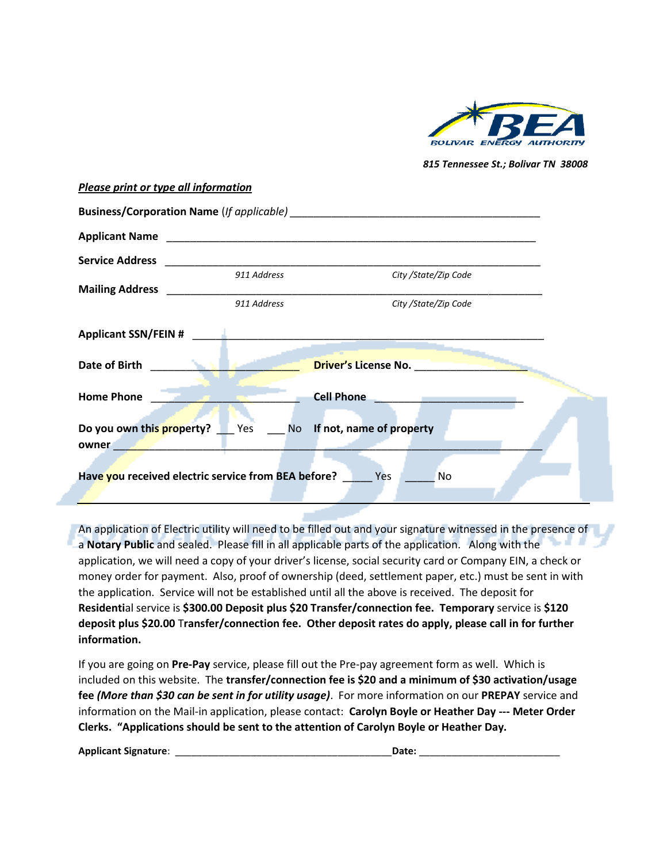

*815 Tennessee St.; Bolivar TN 38008*

| <b>Please print or type all information</b>                                                           |                                                                                                 |
|-------------------------------------------------------------------------------------------------------|-------------------------------------------------------------------------------------------------|
|                                                                                                       |                                                                                                 |
|                                                                                                       |                                                                                                 |
| <b>Service Address</b>                                                                                |                                                                                                 |
| 911 Address                                                                                           | City / State/Zip Code                                                                           |
| 911 Address                                                                                           | City /State/Zip Code                                                                            |
| Applicant SSN/FEIN #                                                                                  |                                                                                                 |
| Date of Birth                                                                                         | <b>Driver's License No. No. No. No. No. 2014</b>                                                |
| <b>Home Phone</b>                                                                                     | <b>Cell Phone</b><br>the control of the control of the control of the control of the control of |
| Do you own this property? Yes No If not, name of property<br>owner<br>in a string of the state of the |                                                                                                 |
|                                                                                                       |                                                                                                 |
| Have you received electric service from BEA before?                                                   | Yes<br><b>No</b>                                                                                |

An application of Electric utility will need to be filled out and your signature witnessed in the presence of a **Notary Public** and sealed. Please fill in all applicable parts of the application. Along with the application, we will need a copy of your driver's license, social security card or Company EIN, a check or money order for payment. Also, proof of ownership (deed, settlement paper, etc.) must be sent in with the application. Service will not be established until all the above is received. The deposit for **Residenti**al service is **\$300.00 Deposit plus \$20 Transfer/connection fee. Temporary** service is **\$120 deposit plus \$20.00** T**ransfer/connection fee. Other deposit rates do apply, please call in for further information.**

If you are going on **Pre-Pay** service, please fill out the Pre-pay agreement form as well. Which is included on this website. The **transfer/connection fee is \$20 and a minimum of \$30 activation/usage fee** *(More than \$30 can be sent in for utility usage)*. For more information on our **PREPAY** service and information on the Mail-in application, please contact: **Carolyn Boyle or Heather Day --- Meter Order Clerks. "Applications should be sent to the attention of Carolyn Boyle or Heather Day.** 

**Applicant Signature**: \_\_\_\_\_\_\_\_\_\_\_\_\_\_\_\_\_\_\_\_\_\_\_\_\_\_\_\_\_\_\_\_\_\_\_\_\_\_\_\_**Date:** \_\_\_\_\_\_\_\_\_\_\_\_\_\_\_\_\_\_\_\_\_\_\_\_\_\_